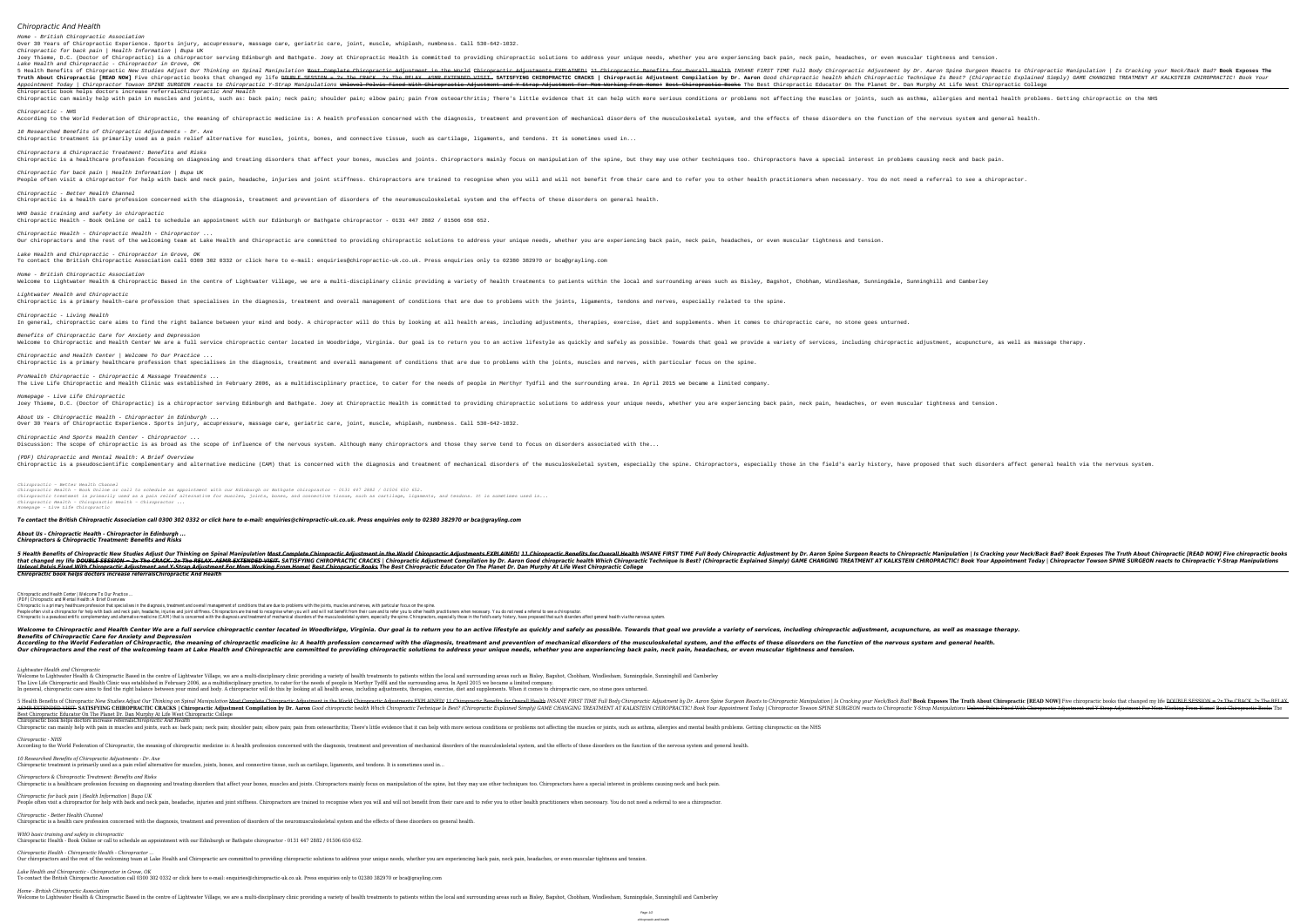*Chiropractic And Health*

Home - British Chiropractic Association

Over 30 Years of Chiropractic Experience. Sports injury, accupressure, massage care, geriatric care, joint, muscle, whiplash, numbness. Call 530-642-1032.

Joey Thieme, D.C. (Doctor of Chiropractic) is a chiropractor serving Edinburgh and Bathgate. Joey at Chiropractic Health is committed to providing chiropractic solutions to address your unique needs, whether you are experi

5 Health Benefits of Chiropractic *New Studies Adjust Our Thinking on Spinal Manipulation Hanipulation Reacts to Chiropractic Manipulation annipulation annipulation annipulation annipulation annipulation is Cracking your N* Truth About Chiropractic [READ NOW] Five chiropractic books that changed my life <del>DOUBLE SESSION = 2x The CRACK. 2x The CRACK. 2x The CRACK. 2x The CRACK. 2x The RELAX. ASMR EXTENDED VISIT. SATISFYING CHIROPRACTIC CRACKS |</del> Appointment Today / Chiropractor Towson SPINE SURGEON reacts to Chiropractic Y-Strap Manipulations Unlevel Pelvis Fixed With Chiropractic Educator On The Planet Dr. Dan Murphy At Life West Chiropractic College Adjustment F

Chiropractic can mainly help with pain in muscles and joints, such as: back pain; neck pain; neck pain; neck pain; shoulder pain; shoulder pain; shoulder pain; shoulder pain; shoulder pain; shoulder pain; shoulder pain; sh

According to the World Federation of Chiropractic, the meaning of chiropractic medicine is: A health profession concerned with the diagnosis, treatment and prevention of the musculoskeletal system, and the effects of these

Chiropractic for back pain | Health Information | Bupa UK

Lake Health and Chiropractic - Chiropractor in Grove, OK

Chiropractic book helps doctors increase referralsChiropractic And Health

Chiropractic - NHS

10 Researched Benefits of Chiropractic Adjustments - Dr. Axe

Chiropractic treatment is primarily used as a pain relief alternative for muscles, joints, bones, and connective tissue, such as cartilage, ligaments, and tendons. It is sometimes used in...

Chiropractic is a healthcare profession focusing on diagnosing and treating disorders that affect your bones, muscles and joints. Chiropractors have a special interest in problems causing neck and back pain. Chiropractors

People often visit a chiropractor for help with back and neck pain, headache, injuries and joint stiffness. Chiropractors are trained to recognise when necessary. You do not need a referral to see a chiropractor.

Chiropractors & Chiropractic Treatment: Benefits and Risks

Chiropractic for back pain | Health Information | Bupa UK

Chiropractic - Better Health Channel

Chiropractic is a health care profession concerned with the diagnosis, treatment and prevention of disorders of the neuromusculoskeletal system and the effects of these disorders on general health.

WHO basic training and safety in chiropractic

Chiropractic Health - Book Online or call to schedule an appointment with our Edinburgh or Bathgate chiropractor - 0131 447 2882 / 01506 650 652.

Our chiropractors and the rest of the welcoming team at Lake Health and Chiropractic are committed to providing chiropractic solutions to address your unique needs, whether you are experiencing back pain, neck pain, headac

Chiropractic Health - Chiropractic Health - Chiropractor ...

Lake Health and Chiropractic - Chiropractor in Grove, OK

To contact the British Chiropractic Association call 0300 302 0332 or click here to e-mail: enquiries@chiropractic-uk.co.uk. Press enquiries only to 02380 382970 or bca@grayling.com

Welcome to Lightwater Health & Chiropractic Based in the centre of Lightwater Village, we are a multi-disciplinary clinic providing a variety of health treatments to patients within the local and surrounding areas such as Chiropractic is a primary health-care profession that specialises in the diagnosis, treatment and overall management of conditions with the joints, ligaments, tendons and nerves, especially related to the spine.

In general, chiropractic care aims to find the right balance between your mind and body. A chiropractor will do this by looking at all health areas, including adjustments, therapies, exercise, diet and supplements. When it

Welcome to Chiropractic and Health Center We are a full service chiropractic center located in Woodbridge, Virginia. Our goal is to return you to an active lifestyle as quickly and safely as possible. Towards that goal we

Chiropractic is a primary healthcare profession that specialises in the diagnosis, treatment and overall management of conditions that are due to problems with the joints, muscles and nerves, with particular focus on the s

The Live Life Chiropractic and Health Clinic was established in February 2006, as a multidisciplinary practice, to cater for the needs of people in Merthyr Tydfil and the surrounding area. In April 2015 we became a limited

Joey Thieme, D.C. (Doctor of Chiropractic) is a chiropractor serving Edinburgh and Bathgate. Joey at Chiropractic Health is committed to providing chiropractic solutions to address your unique needs, whether you are experi

Home - British Chiropractic Association

Lightwater Health and Chiropractic

Chiropractic - Living Health

Benefits of Chiropractic Care for Anxiety and Depression

Chiropractic and Health Center | Welcome To Our Practice ...

ProHealth Chiropractic - Chiropractic & Massage Treatments ...

Homepage - Live Life Chiropractic

About Us - Chiropractic Health - Chiropractor in Edinburgh ...

Over 30 Years of Chiropractic Experience. Sports injury, accupressure, massage care, geriatric care, joint, muscle, whiplash, numbness. Call 530-642-1032.

Chiropractic And Sports Health Center - Chiropractor ...

Discussion: The scope of chiropractic is as broad as the scope of influence of the nervous system. Although many chiropractors and those they serve tend to focus on disorders associated with the...

Chiropractic is a pseudoscientific complementary and alternative medicine (CAM) that is concerned with the field's early history, have proposed that such disorders affect general health via the nervous system. Chiropractor

(PDF) Chiropractic and Mental Health: A Brief Overview

*Chiropractic - Better Health Channel*

*Chiropractic Health - Book Online or call to schedule an appointment with our Edinburgh or Bathgate chiropractor - 0131 447 2882 / 01506 650 652.*

*Chiropractic Health - Chiropractic Health - Chiropractor ...* Our chiropractors and the rest of the welcoming team at Lake Health and Chiropractic are committed to providing chiropractic solutions to address your unique needs, whether you are experiencing back pain, neck pain, headac

*Chiropractic treatment is primarily used as a pain relief alternative for muscles, joints, bones, and connective tissue, such as cartilage, ligaments, and tendons. It is sometimes used in...*

*Chiropractic Health - Chiropractic Health - Chiropractor ...*

*Homepage - Live Life Chiropractic*

## *To contact the British Chiropractic Association call 0300 302 0332 or click here to e-mail: enquiries@chiropractic-uk.co.uk. Press enquiries only to 02380 382970 or bca@grayling.com*

5 Health Benefits of Chiropractic New Studies Adjust Our Thinking on Spinal Manipulation Nanipulation Mes<del>t Complete Chiropractic Adjustment in the World Chiropractic Adjustments EXPLAINED! 11 Chiropractic Manipulation | I</del> The CRACK. 2x The CRACK. 2x The RELAX. ASMR EXTENDED VISIT. SATISFYING CHIROPRACTIC CRACKS | Chiropractic Adjustment Compilation by Dr. Aaron Good chiropractic Explained Simply) GAME CHANGING TREATMENT AT KALKSTEIN CHIROPR Unlevel Pelvis Fixed With Chiropractic Adjustment and Y-Strap Adjustment For Mom Working From Home! Best Chiropractic Books The Best Chiropractic Educator On The Planet Dr. Dan Murphy At Life West Chiropractic College

Chiropractic is a primary healthcare profession that specialises in the diagnosis, treatment and overall management of conditions that are due to problems with the joints, muscles and nerves, with particular focus on the s People often visit a chiropractor for help with back and neck pain, headache, injuries and joint stiffness. Chiropractors are trained to recognise when you will and will not benefit from their care and to refer you to othe Chiropractic is a pseudoscientific complementary and alternative medicine (CAM) that is concerned with the diagnosis and treatment of mechanical disorders of the musculoskeletal system, especially those in the field's earl

Welcome to Chiropractic and Health Center We are a full service chiropractic center located in Woodbridge, Virginia. Our goal is to return you to an active lifestyle as quickly and safely as possible. Towards that goal we

According to the World Federation of Chiropractic, the meaning of chiropractic medicine is: A health profession concerned with the diagnosis, treatment and prevention of mechanical disorders of these disorders on the funct

Our chiropractors and the rest of the welcoming team at Lake Health and Chiropractic are committed to providing chiropractic solutions to address your unique needs, whether you are experiencing back pain, neck pain, headac

Welcome to Lightwater Health & Chiropractic Based in the centre of Lightwater Village, we are a multi-disciplinary clinic providing a variety of health treatments to patients within the local and surrounding areas such as

The Live Life Chiropractic and Health Clinic was established in February 2006, as a multidisciplinary practice, to cater for the needs of people in Merthyr Tydfil and the surrounding area. In April 2015 we became a limited In general, chiropractic care aims to find the right balance between your mind and body. A chiropractor will do this by looking at all health areas, including adjustments, therapies, exercise, diet and supplements. When it

Inkluster Benefits of Chiropractic New Studies Adjust Our Thinking on Spinal Manipulation Hangulation Nost Complete Chiropractic Adjustment in the World Chiropractic Adjustment in the World Chiropractic Adjustment by Dr. A Chiropractic Roller Park CHIROPRACTIC CRACKS | Chiropractic Adjustment Compilation by Dr. Aaron Good chiropractic P-Strap Manipulations Unlevel Pelvis Fixed With Chiropractic Adjustment and Y-Strap Adjustment For Mom Worki

Chiropractic can mainly help with pain in muscles and joints, such as: back pain; neck pain; neck pain; shoulder pain; shoulder pain; elbow pain; pain from osteoarthritis; There's little evidence that it can help with more

According to the World Federation of Chiropractic, the meaning of chiropractic medicine is: A health profession concerned with the diagnosis, treatment and prevention of mechanical disorders of the musculoskeletal system,

Welcome to Lightwater Health & Chiropractic Based in the centre of Lightwater Village, we are a multi-disciplinary clinic providing a variety of health treatments to patients within the local and surrounding areas such as

*About Us - Chiropractic Health - Chiropractor in Edinburgh ... Chiropractors & Chiropractic Treatment: Benefits and Risks*

*Chiropractic book helps doctors increase referralsChiropractic And Health*

Chiropractic and Health Center | Welcome To Our Practice ... (PDF) Chiropractic and Mental Health: A Brief Overview

*Benefits of Chiropractic Care for Anxiety and Depression*

*Lightwater Health and Chiropractic*

Best Chiropractic Educator On The Planet Dr. Dan Murphy At Life West Chiropractic College

Chiropractic book helps doctors increase referrals*Chiropractic And Health*

*Chiropractic - NHS*

*10 Researched Benefits of Chiropractic Adjustments - Dr. Axe*

Chiropractic treatment is primarily used as a pain relief alternative for muscles, joints, bones, and connective tissue, such as cartilage, ligaments, and tendons. It is sometimes used in... *Chiropractors & Chiropractic Treatment: Benefits and Risks*

*Chiropractic - Better Health Channel* Chiropractic is a health care profession concerned with the diagnosis, treatment and prevention of disorders of the neuromusculoskeletal system and the effects of these disorders on general health.

Chiropractic is a healthcare profession focusing on diagnosing and treating disorders that affect your bones, muscles and joints. Chiropractors mainly focus on manipulation of the spine, but they may use other techniques t *Chiropractic for back pain | Health Information | Bupa UK* People often visit a chiropractor for help with back and neck pain, headache, injuries and joint stiffness. Chiropractors are trained to recognise when you will and will not benefit from their care and to refer you to othe

*WHO basic training and safety in chiropractic* Chiropractic Health - Book Online or call to schedule an appointment with our Edinburgh or Bathgate chiropractor - 0131 447 2882 / 01506 650 652.

*Lake Health and Chiropractic - Chiropractor in Grove, OK*

To contact the British Chiropractic Association call 0300 302 0332 or click here to e-mail: enquiries@chiropractic-uk.co.uk. Press enquiries only to 02380 382970 or bca@grayling.com

*Home - British Chiropractic Association*